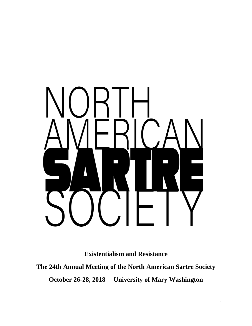

**Existentialism and Resistance** 

**The 24th Annual Meeting of the North American Sartre Society October 26-28, 2018 University of Mary Washington**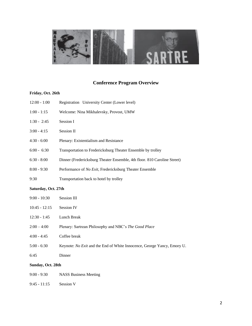

## **Conference Program Overview**

### **Friday, Oct. 26th**

- 12:00 1:00 Registration University Center (Lower level)
- 1:00 1:15 Welcome: Nina Mikhalevsky, Provost, UMW
- 1:30 2:45 Session I
- 3:00 4:15 Session II
- 4:30 6:00 Plenary: Existentialism and Resistance
- 6:00 6:30 Transportation to Fredericksburg Theater Ensemble by trolley
- 6:30 8:00 Dinner (Fredericksburg Theater Ensemble, 4th floor. 810 Caroline Street)
- 8:00 9:30 Performance of *No Exit*, Fredericksburg Theater Ensemble
- 9:30 Transportation back to hotel by trolley

### **Saturday, Oct. 27th**

| $9:00 - 10:30$  | <b>Session III</b>                                                             |
|-----------------|--------------------------------------------------------------------------------|
| $10:45 - 12:15$ | <b>Session IV</b>                                                              |
| $12:30 - 1:45$  | Lunch Break                                                                    |
| $2:00 - 4:00$   | Plenary: Sartrean Philosophy and NBC's The Good Place                          |
| $4:00 - 4:45$   | Coffee break                                                                   |
| $5:00 - 6:30$   | Keynote: <i>No Exit</i> and the End of White Innocence, George Yancy, Emory U. |
| 6:45            | Dinner                                                                         |

### **Sunday, Oct. 28th**

| 9:00 - 9:30 | <b>NASS Business Meeting</b> |
|-------------|------------------------------|
|-------------|------------------------------|

9:45 - 11:15 Session V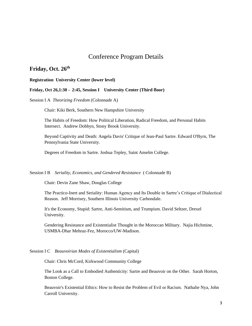# Conference Program Details

## **Friday, Oct. 26th**

## **Registration University Center (lower level)**

### **Friday, Oct 26,1:30 - 2:45, Session I University Center (Third floor)**

### Session I A *Theorizing Freedom* (Colonnade A)

Chair: Kiki Berk, Southern New Hampshire University

The Habits of Freedom: How Political Liberation, Radical Freedom, and Personal Habits Intersect. Andrew Dobbyn, Stony Brook University.

Beyond Captivity and Death: Angela Davis' Critique of Jean-Paul Sartre. Edward O'Byrn, The Pennsylvania State University.

Degrees of Freedom in Sartre. Joshua Tepley, Saint Anselm College.

### Session I B *Seriality, Economics, and Gendered Resistance* ( Colonnade B)

Chair: Devin Zane Shaw, Douglas College

The Practico-Inert and Seriality: Human Agency and Its Double in Sartre's Critique of Dialectical Reason. Jeff Morrisey, Southern Illinois University Carbondale.

It's the Economy, Stupid: Sartre, Anti-Semitism, and Trumpism. David Seltzer, Drexel University.

Gendering Resistance and Existentialist Thought in the Moroccan Military. Najia Hichmine, USMBA-Dhar Mehraz-Fez, Morocco/UW-Madison.

Session I C *Beauvoirian Modes of Existentialism* (Capital)

Chair: Chris McCord, Kirkwood Community College

The Look as a Call to Embodied Authenticity: Sartre and Beauvoir on the Other. Sarah Horton, Boston College.

Beauvoir's Existential Ethics: How to Resist the Problem of Evil or Racism. Nathalie Nya, John Carroll University.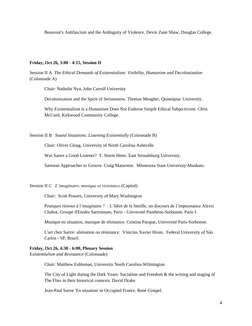Beauvoir's Antifascism and the Ambiguity of Violence. Devin Zane Shaw, Douglas College.

### **Friday, Oct 26, 3:00 - 4:15, Session II**

Session II A *The Ethical Demands of Existentialism: Visibility, Humanism and Decolonization*  (Colonnade A)

Chair: Nathalie Nya, John Carroll University

Decolonization and the Spirit of Seriousness. Thomas Meagher, Quinnipiac University.

Why Existentialism is a Humanism Does Not Endorse Simple Ethical Subjectivism Chris McCord, Kirkwood Community College.

Session II B *Sound Situations: Listening Existentially* (Colonnade B)

Chair: Oliver Gloag, University of North Carolina Asheville

Was Sartre a Good Listener? T. Storm Heter, East Stroudsburg University.

Sartrean Approaches to Groove. Craig Matarrese. Minnesota State University-Mankato.

Session II C *L'imaginaire, musique et résistance* (Capital)

Chair: Scott Powers, University of Mary Washington

Pourquoi résister à l'imaginaire ? - L'Idiot de la famille, un discours de l'impuissance Alexis Chabot, Groupe d'Etudes Sartriennes, Paris - Université Panthéon-Sorbonne, Paris I.

Musique en situation, musique de résistance. Cristina Parapar, Université Paris-Sorbonne.

L'art chez Sartre: aliénation ou résistance. Vinicius Xavier Hoste, Federal University of São Carlos - SP, Brazil.

## **Friday, Oct 26, 4:30 - 6:00, Plenary Session**

*Existentialism and Resistance* (Colonnade)

Chair: Matthew Eshleman, University North Carolina Wilmington

The City of Light during the Dark Years: Socialism and Freedom & the writing and staging of The Flies in their historical contexts. David Drake

Jean-Paul Sartre 'En situation' in Occupied France. René Gimpel.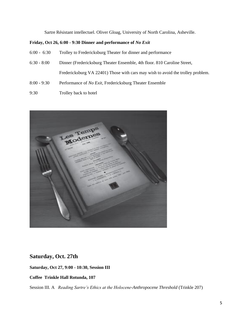Sartre Résistant intellectuel. Oliver Gloag, University of North Carolina, Asheville.

## **Friday, Oct 26, 6:00 - 9:30 Dinner and performance of** *No Exit*

- 6:00 6:30 Trolley to Fredericksburg Theater for dinner and performance
- 6:30 8:00 Dinner (Fredericksburg Theater Ensemble, 4th floor. 810 Caroline Street, Fredericksburg VA 22401) Those with cars may wish to avoid the trolley problem.
- 8:00 9:30 Performance of *No Exit*, Fredericksburg Theater Ensemble
- 9:30 Trolley back to hotel



# **Saturday, Oct. 27th**

**Saturday, Oct 27, 9:00 - 10:30, Session III** 

## **Coffee Trinkle Hall Rotunda, 107**

Session III. A *Reading Sartre's Ethics at the Holocene-Anthropocene Threshold* (Trinkle 207)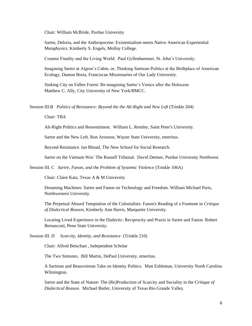Chair: William McBride, Purdue University

Sartre, Deloria, and the Anthropocene: Existentialism meets Native American Experiential Metaphysics. Kimberly S. Engels, Molloy College.

Counter Finality and the Living World. Paul Gyllenhammer, St. John's University.

Imagining Sartre at Algren's Cabin, or, Thinking Sartrean Politics at the Birthplace of American Ecology, Damon Boria, Franciscan Missionaries of Our Lady University.

Sinking City on Fallen Forest: Re-imagining Sartre's Venice after the Holocene Matthew C. Ally, City University of New York/BMCC.

Session III.B *Politics of Resistance: Beyond the the Alt-Right and New Left* (Trinkle 204)

Chair: TBA

Alt-Right Politics and Ressentiment. William L. Remley, Saint Peter's University.

Sartre and the New Left. Ron Aronson, Wayne State University, emeritus.

Beyond Resistance. Ian Rhoad, The New School for Social Research.

Sartre on the Vietnam War: The Russell Tribunal. David Detmer, Purdue University Northwest.

Session III. C *Sartre, Fanon, and the Problem of Systemic Violence* (Trinkle 106A)

Chair: Claire Katz, Texas A & M University

Dreaming Machines: Sartre and Fanon on Technology and Freedom. William Michael Paris, Northwestern University.

The Perpetual Absurd Temptation of the Colonialists: Fanon's Reading of a Footnote in *Critique of Dialectical Reason*, Kimberly Ann Harris, Marquette University.

Locating Lived Experience in the Dialectic: Reciprocity and Praxis in Sartre and Fanon. Robert Bernasconi, Penn State University.

Session III. D *Scarcity, Identity, and Resistance* (Trinkle 210)

Chair: Alfred Betschart , Independent Scholar

The Two Simones. Bill Martin, DePaul University, emeritus.

A Sartrean and Beauvoirean Take on Identity Politics. Matt Eshleman, University North Carolina Wilmington.

Sartre and the State of Nature: The (Re)Production of Scarcity and Sociality in the *Critique of Dialectical Reason*. Michael Butler, University of Texas Rio Grande Valley.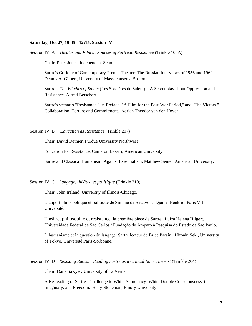#### **Saturday, Oct 27, 10:45 - 12:15, Session IV**

Session IV. A *Theater and Film as Sources of Sartrean Resistance* (Trinkle 106A)

Chair: Peter Jones, Independent Scholar

Sartre's Critique of Contemporary French Theater: The Russian Interviews of 1956 and 1962. Dennis A. Gilbert, University of Massachusetts, Boston.

Sartre's *The Witches of Salem* (Les Sorcières de Salem) – A Screenplay about Oppression and Resistance. Alfred Betschart.

Sartre's scenario "Resistance," its Preface: "A Film for the Post-War Period," and "The Victors." Collaboration, Torture and Commitment. Adrian Theodor van den Hoven

Session IV. B *Education as Resistance* (Trinkle 207)

Chair: David Detmer, Purdue University Northwest

Education for Resistance. Cameron Bassiri, American University.

Sartre and Classical Humanism: Against Essentialism. Matthew Senie. American University.

Session IV. C *Langage, théâtre et politique* (Trinkle 210)

Chair: John Ireland, University of Illinois-Chicago,

L'apport philosophique et politique de Simone de Beauvoir. Djamel Benkrid, Paris VIII Université.

Théâtre, philosophie et résistance: la première pièce de Sartre. Luiza Helena Hilgert, Universidade Federal de São Carlos / Fundação de Amparo à Pesquisa do Estado de São Paulo.

L'humanisme et la question du langage: Sartre lecteur de Brice Parain. Hiroaki Seki, University of Tokyo, Université Paris-Sorbonne.

Session IV. D *Resisting Racism: Reading Sartre as a Critical Race Theorist* (Trinkle 204)

Chair: Dane Sawyer, University of La Verne

A Re-reading of Sartre's Challenge to White Supremacy: White Double Consciousness, the Imaginary, and Freedom. Betty Stoneman, Emory University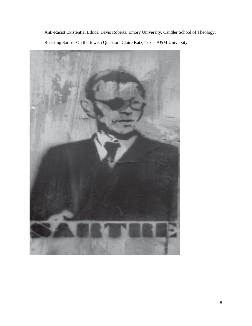Anti-Racist Existential Ethics. Davis Roberts, Emory University, Candler School of Theology.

Resisting Sartre--On the Jewish Question. Claire Katz, Texas A&M University.

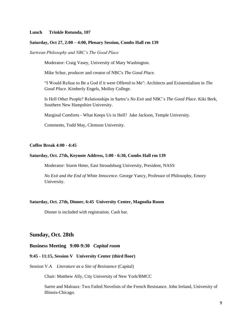### **Lunch Trinkle Rotunda, 107**

#### **Saturday, Oct 27, 2:00 – 4:00, Plenary Session, Combs Hall rm 139**

### *Sartrean Philosophy and NBC's The Good Place*

Moderator: Craig Vasey, University of Mary Washington.

Mike Schur, producer and creator of NBC's *The Good Place*.

"I Would Refuse to Be a God if it were Offered to Me": Architects and Existentialism in *The Good Place*. Kimberly Engels, Molloy College.

Is Hell Other People? Relationships in Sartre's *No Exit* and NBC's *The Good Place*. Kiki Berk, Southern New Hampshire University.

Marginal Comforts - What Keeps Us in Hell? Jake Jackson, Temple University.

Comments, Todd May, Clemson University.

### **Coffee Break 4:00 - 4:45**

#### **Saturday, Oct. 27th, Keynote Address, 5:00 - 6:30, Combs Hall rm 139**

Moderator: Storm Heter, East Stroudsburg University, President, NASS

*No Exit and the End of White Innocence*. George Yancy, Professor of Philosophy, Emory University.

### **Saturday, Oct. 27th, Dinner, 6:45 University Center, Magnolia Room**

Dinner is included with registration. Cash bar.

## **Sunday, Oct. 28th**

### **Business Meeting 9:00-9:30** *Capital room*

### **9:45 - 11:15, Session V University Center (third floor)**

Session V.A *Literature as a Site of Resistance* (Capital)

Chair: Matthew Ally, City University of New York/BMCC

Sartre and Malraux: Two Failed Novelists of the French Resistance. John Ireland, University of Illinois-Chicago.